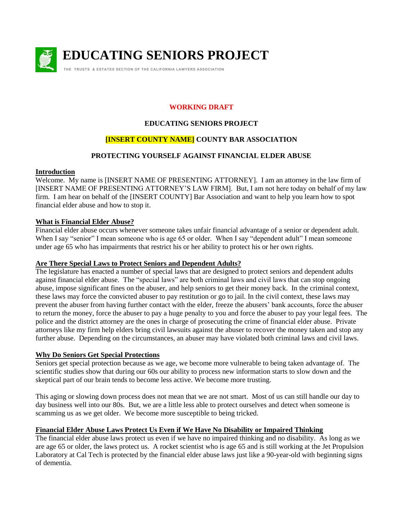

**EDUCATING SENIORS PROJECT**

**THE TRUSTS & ESTATES SECTION OF THE CALIFORNIA LAWYERS ASSOCIATION**

## **WORKING DRAFT**

## **EDUCATING SENIORS PROJECT**

# **[INSERT COUNTY NAME] COUNTY BAR ASSOCIATION**

## **PROTECTING YOURSELF AGAINST FINANCIAL ELDER ABUSE**

### **Introduction**

Welcome. My name is [INSERT NAME OF PRESENTING ATTORNEY]. I am an attorney in the law firm of [INSERT NAME OF PRESENTING ATTORNEY'S LAW FIRM]. But, I am not here today on behalf of my law firm. I am hear on behalf of the [INSERT COUNTY] Bar Association and want to help you learn how to spot financial elder abuse and how to stop it.

## **What is Financial Elder Abuse?**

Financial elder abuse occurs whenever someone takes unfair financial advantage of a senior or dependent adult. When I say "senior" I mean someone who is age 65 or older. When I say "dependent adult" I mean someone under age 65 who has impairments that restrict his or her ability to protect his or her own rights.

#### **Are There Special Laws to Protect Seniors and Dependent Adults?**

The legislature has enacted a number of special laws that are designed to protect seniors and dependent adults against financial elder abuse. The "special laws" are both criminal laws and civil laws that can stop ongoing abuse, impose significant fines on the abuser, and help seniors to get their money back. In the criminal context, these laws may force the convicted abuser to pay restitution or go to jail. In the civil context, these laws may prevent the abuser from having further contact with the elder, freeze the abusers' bank accounts, force the abuser to return the money, force the abuser to pay a huge penalty to you and force the abuser to pay your legal fees. The police and the district attorney are the ones in charge of prosecuting the crime of financial elder abuse. Private attorneys like my firm help elders bring civil lawsuits against the abuser to recover the money taken and stop any further abuse. Depending on the circumstances, an abuser may have violated both criminal laws and civil laws.

## **Why Do Seniors Get Special Protections**

Seniors get special protection because as we age, we become more vulnerable to being taken advantage of. The scientific studies show that during our 60s our ability to process new information starts to slow down and the skeptical part of our brain tends to become less active. We become more trusting.

This aging or slowing down process does not mean that we are not smart. Most of us can still handle our day to day business well into our 80s. But, we are a little less able to protect ourselves and detect when someone is scamming us as we get older. We become more susceptible to being tricked.

#### **Financial Elder Abuse Laws Protect Us Even if We Have No Disability or Impaired Thinking**

The financial elder abuse laws protect us even if we have no impaired thinking and no disability. As long as we are age 65 or older, the laws protect us. A rocket scientist who is age 65 and is still working at the Jet Propulsion Laboratory at Cal Tech is protected by the financial elder abuse laws just like a 90-year-old with beginning signs of dementia.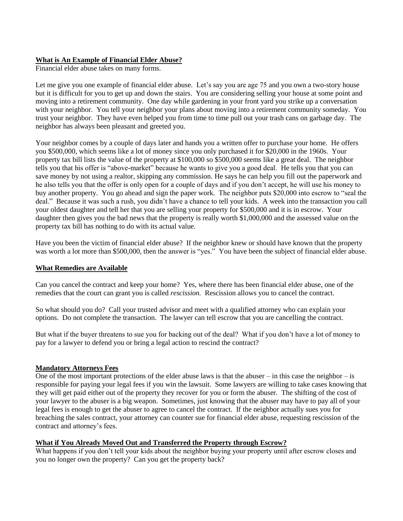### **What is An Example of Financial Elder Abuse?**

Financial elder abuse takes on many forms.

Let me give you one example of financial elder abuse. Let's say you are age 75 and you own a two-story house but it is difficult for you to get up and down the stairs. You are considering selling your house at some point and moving into a retirement community. One day while gardening in your front yard you strike up a conversation with your neighbor. You tell your neighbor your plans about moving into a retirement community someday. You trust your neighbor. They have even helped you from time to time pull out your trash cans on garbage day. The neighbor has always been pleasant and greeted you.

Your neighbor comes by a couple of days later and hands you a written offer to purchase your home. He offers you \$500,000, which seems like a lot of money since you only purchased it for \$20,000 in the 1960s. Your property tax bill lists the value of the property at \$100,000 so \$500,000 seems like a great deal. The neighbor tells you that his offer is "above-market" because he wants to give you a good deal. He tells you that you can save money by not using a realtor, skipping any commission. He says he can help you fill out the paperwork and he also tells you that the offer is only open for a couple of days and if you don't accept, he will use his money to buy another property. You go ahead and sign the paper work. The neighbor puts \$20,000 into escrow to "seal the deal." Because it was such a rush, you didn't have a chance to tell your kids. A week into the transaction you call your oldest daughter and tell her that you are selling your property for \$500,000 and it is in escrow. Your daughter then gives you the bad news that the property is really worth \$1,000,000 and the assessed value on the property tax bill has nothing to do with its actual value.

Have you been the victim of financial elder abuse? If the neighbor knew or should have known that the property was worth a lot more than \$500,000, then the answer is "yes." You have been the subject of financial elder abuse.

#### **What Remedies are Available**

Can you cancel the contract and keep your home? Yes, where there has been financial elder abuse, one of the remedies that the court can grant you is called *rescission.* Rescission allows you to cancel the contract.

So what should you do? Call your trusted advisor and meet with a qualified attorney who can explain your options. Do not complete the transaction. The lawyer can tell escrow that you are cancelling the contract.

But what if the buyer threatens to sue you for backing out of the deal? What if you don't have a lot of money to pay for a lawyer to defend you or bring a legal action to rescind the contract?

#### **Mandatory Attorneys Fees**

One of the most important protections of the elder abuse laws is that the abuser – in this case the neighbor – is responsible for paying your legal fees if you win the lawsuit. Some lawyers are willing to take cases knowing that they will get paid either out of the property they recover for you or form the abuser. The shifting of the cost of your lawyer to the abuser is a big weapon. Sometimes, just knowing that the abuser may have to pay all of your legal fees is enough to get the abuser to agree to cancel the contract. If the neighbor actually sues you for breaching the sales contract, your attorney can counter sue for financial elder abuse, requesting rescission of the contract and attorney's fees.

## **What if You Already Moved Out and Transferred the Property through Escrow?**

What happens if you don't tell your kids about the neighbor buying your property until after escrow closes and you no longer own the property? Can you get the property back?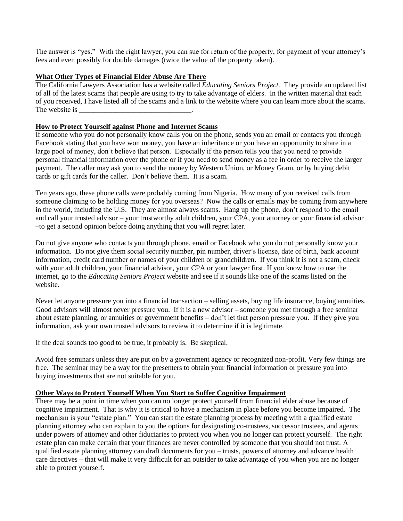The answer is "yes." With the right lawyer, you can sue for return of the property, for payment of your attorney's fees and even possibly for double damages (twice the value of the property taken).

#### **What Other Types of Financial Elder Abuse Are There**

The California Lawyers Association has a website called *Educating Seniors Project.* They provide an updated list of all of the latest scams that people are using to try to take advantage of elders. In the written material that each of you received, I have listed all of the scams and a link to the website where you can learn more about the scams. The website is

### **How to Protect Yourself against Phone and Internet Scams**

If someone who you do not personally know calls you on the phone, sends you an email or contacts you through Facebook stating that you have won money, you have an inheritance or you have an opportunity to share in a large pool of money, don't believe that person. Especially if the person tells you that you need to provide personal financial information over the phone or if you need to send money as a fee in order to receive the larger payment. The caller may ask you to send the money by Western Union, or Money Gram, or by buying debit cards or gift cards for the caller. Don't believe them. It is a scam.

Ten years ago, these phone calls were probably coming from Nigeria. How many of you received calls from someone claiming to be holding money for you overseas? Now the calls or emails may be coming from anywhere in the world, including the U.S. They are almost always scams. Hang up the phone, don't respond to the email and call your trusted advisor – your trustworthy adult children, your CPA, your attorney or your financial advisor –to get a second opinion before doing anything that you will regret later.

Do not give anyone who contacts you through phone, email or Facebook who you do not personally know your information. Do not give them social security number, pin number, driver's license, date of birth, bank account information, credit card number or names of your children or grandchildren. If you think it is not a scam, check with your adult children, your financial advisor, your CPA or your lawyer first. If you know how to use the internet, go to the *Educating Seniors Project* website and see if it sounds like one of the scams listed on the website.

Never let anyone pressure you into a financial transaction – selling assets, buying life insurance, buying annuities. Good advisors will almost never pressure you. If it is a new advisor – someone you met through a free seminar about estate planning, or annuities or government benefits – don't let that person pressure you. If they give you information, ask your own trusted advisors to review it to determine if it is legitimate.

If the deal sounds too good to be true, it probably is. Be skeptical.

Avoid free seminars unless they are put on by a government agency or recognized non-profit. Very few things are free. The seminar may be a way for the presenters to obtain your financial information or pressure you into buying investments that are not suitable for you.

#### **Other Ways to Protect Yourself When You Start to Suffer Cognitive Impairment**

There may be a point in time when you can no longer protect yourself from financial elder abuse because of cognitive impairment. That is why it is critical to have a mechanism in place before you become impaired. The mechanism is your "estate plan." You can start the estate planning process by meeting with a qualified estate planning attorney who can explain to you the options for designating co-trustees, successor trustees, and agents under powers of attorney and other fiduciaries to protect you when you no longer can protect yourself. The right estate plan can make certain that your finances are never controlled by someone that you should not trust. A qualified estate planning attorney can draft documents for you – trusts, powers of attorney and advance health care directives – that will make it very difficult for an outsider to take advantage of you when you are no longer able to protect yourself.